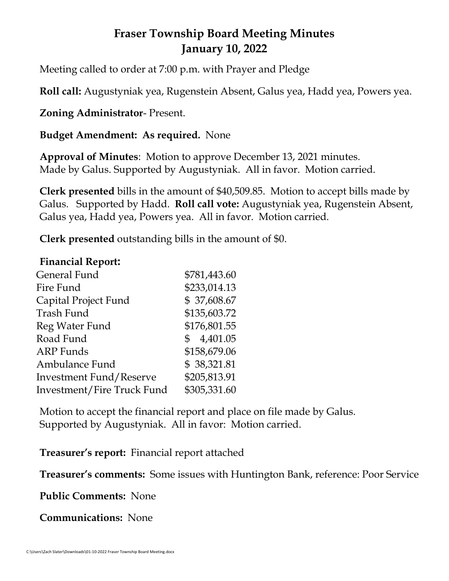# **Fraser Township Board Meeting Minutes January 10, 2022**

Meeting called to order at 7:00 p.m. with Prayer and Pledge

**Roll call:** Augustyniak yea, Rugenstein Absent, Galus yea, Hadd yea, Powers yea.

**Zoning Administrator**- Present.

**Budget Amendment: As required.** None

**Approval of Minutes**: Motion to approve December 13, 2021 minutes. Made by Galus. Supported by Augustyniak. All in favor. Motion carried.

**Clerk presented** bills in the amount of \$40,509.85. Motion to accept bills made by Galus. Supported by Hadd. **Roll call vote:** Augustyniak yea, Rugenstein Absent, Galus yea, Hadd yea, Powers yea. All in favor. Motion carried.

**Clerk presented** outstanding bills in the amount of \$0.

### **Financial Report:**

| \$781,443.60               |
|----------------------------|
| \$233,014.13               |
| \$37,608.67                |
| \$135,603.72               |
| \$176,801.55               |
| 4,401.05<br>$\mathbb{S}^-$ |
| \$158,679.06               |
| \$38,321.81                |
| \$205,813.91               |
| \$305,331.60               |
|                            |

Motion to accept the financial report and place on file made by Galus. Supported by Augustyniak. All in favor: Motion carried.

**Treasurer's report:** Financial report attached

**Treasurer's comments:** Some issues with Huntington Bank, reference: Poor Service

**Public Comments:** None

**Communications:** None